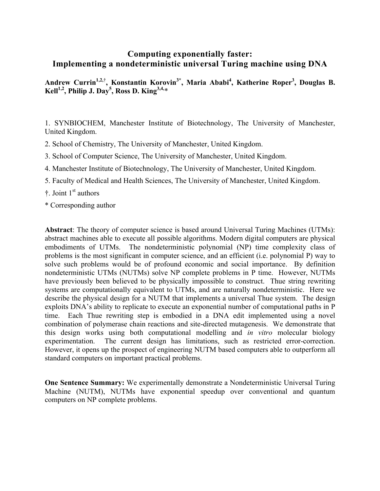# **Computing exponentially faster: Implementing a nondeterministic universal Turing machine using DNA**

**Andrew Currin1,2,**† **, Konstantin Korovin3\*, Maria Ababi4 , Katherine Roper3 , Douglas B. Kell1,2, Philip J. Day5 , Ross D. King3,4,**\*

1. SYNBIOCHEM, Manchester Institute of Biotechnology, The University of Manchester, United Kingdom.

2. School of Chemistry, The University of Manchester, United Kingdom.

- 3. School of Computer Science, The University of Manchester, United Kingdom.
- 4. Manchester Institute of Biotechnology, The University of Manchester, United Kingdom.
- 5. Faculty of Medical and Health Sciences, The University of Manchester, United Kingdom.
- $\ddagger$ . Joint 1<sup>st</sup> authors
- \* Corresponding author

**Abstract**: The theory of computer science is based around Universal Turing Machines (UTMs): abstract machines able to execute all possible algorithms. Modern digital computers are physical embodiments of UTMs. The nondeterministic polynomial (NP) time complexity class of problems is the most significant in computer science, and an efficient (i.e. polynomial P) way to solve such problems would be of profound economic and social importance. By definition nondeterministic UTMs (NUTMs) solve NP complete problems in P time. However, NUTMs have previously been believed to be physically impossible to construct. Thue string rewriting systems are computationally equivalent to UTMs, and are naturally nondeterministic. Here we describe the physical design for a NUTM that implements a universal Thue system. The design exploits DNA's ability to replicate to execute an exponential number of computational paths in P time. Each Thue rewriting step is embodied in a DNA edit implemented using a novel combination of polymerase chain reactions and site-directed mutagenesis. We demonstrate that this design works using both computational modelling and *in vitro* molecular biology experimentation. The current design has limitations, such as restricted error-correction. However, it opens up the prospect of engineering NUTM based computers able to outperform all standard computers on important practical problems.

**One Sentence Summary:** We experimentally demonstrate a Nondeterministic Universal Turing Machine (NUTM), NUTMs have exponential speedup over conventional and quantum computers on NP complete problems.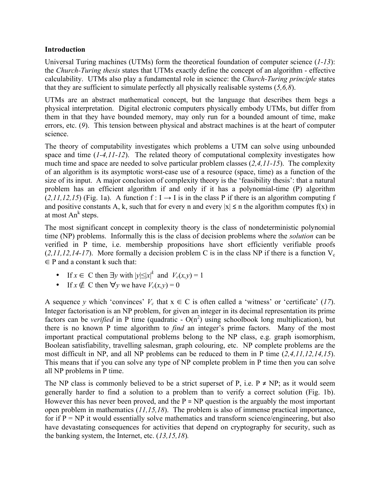# **Introduction**

Universal Turing machines (UTMs) form the theoretical foundation of computer science (*1-13*): the *Church-Turing thesis* states that UTMs exactly define the concept of an algorithm - effective calculability. UTMs also play a fundamental role in science: the *Church-Turing principle* states that they are sufficient to simulate perfectly all physically realisable systems (*5,6,8*).

UTMs are an abstract mathematical concept, but the language that describes them begs a physical interpretation. Digital electronic computers physically embody UTMs, but differ from them in that they have bounded memory, may only run for a bounded amount of time, make errors, etc. (*9*). This tension between physical and abstract machines is at the heart of computer science.

The theory of computability investigates which problems a UTM can solve using unbounded space and time (*1-4,11-12*). The related theory of computational complexity investigates how much time and space are needed to solve particular problem classes (*2,4,11-15*). The complexity of an algorithm is its asymptotic worst-case use of a resource (space, time) as a function of the size of its input. A major conclusion of complexity theory is the 'feasibility thesis': that a natural problem has an efficient algorithm if and only if it has a polynomial-time (P) algorithm  $(2,11,12,15)$  (Fig. 1a). A function f: I  $\rightarrow$  I is in the class P if there is an algorithm computing f and positive constants A, k, such that for every n and every  $|x| \le n$  the algorithm computes  $f(x)$  in at most  $An^k$  steps.

The most significant concept in complexity theory is the class of nondeterministic polynomial time (NP) problems. Informally this is the class of decision problems where the *solution* can be verified in P time, i.e. membership propositions have short efficiently verifiable proofs  $(2,11,12,14-17)$ . More formally a decision problem C is in the class NP if there is a function  $V_c$  $\in$  P and a constant k such that:

- If  $x \in C$  then  $\exists y$  with  $|y| \leq |x|^k$  and  $V_c(x, y) = 1$
- If  $x \notin C$  then  $\forall y$  we have  $V_c(x, y) = 0$

A sequence *y* which 'convinces'  $V_c$  that  $x \in C$  is often called a 'witness' or 'certificate' (17). Integer factorisation is an NP problem, for given an integer in its decimal representation its prime factors can be *verified* in P time (quadratic -  $O(n^2)$  using schoolbook long multiplication), but there is no known P time algorithm to *find* an integer's prime factors. Many of the most important practical computational problems belong to the NP class, e.g. graph isomorphism, Boolean satisfiability, travelling salesman, graph colouring, etc. NP complete problems are the most difficult in NP, and all NP problems can be reduced to them in P time (*2,4,11,12,14,15*). This means that if you can solve any type of NP complete problem in P time then you can solve all NP problems in P time.

The NP class is commonly believed to be a strict superset of P, i.e.  $P \ne NP$ ; as it would seem generally harder to find a solution to a problem than to verify a correct solution (Fig. 1b). However this has never been proved, and the  $P = NP$  question is the arguably the most important open problem in mathematics (*11,15,18*). The problem is also of immense practical importance, for if  $P = NP$  it would essentially solve mathematics and transform science/engineering, but also have devastating consequences for activities that depend on cryptography for security, such as the banking system, the Internet, etc. (*13,15,18*)*.*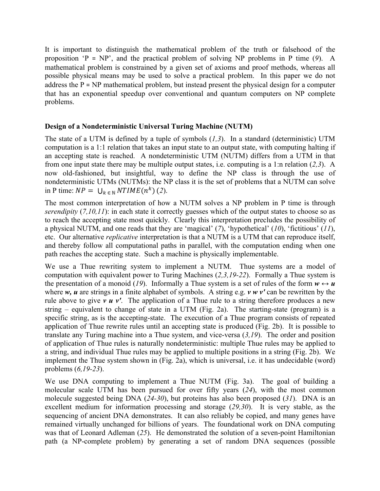It is important to distinguish the mathematical problem of the truth or falsehood of the proposition 'P = NP', and the practical problem of solving NP problems in P time (*9*). A mathematical problem is constrained by a given set of axioms and proof methods, whereas all possible physical means may be used to solve a practical problem. In this paper we do not address the P = NP mathematical problem, but instead present the physical design for a computer that has an exponential speedup over conventional and quantum computers on NP complete problems.

# **Design of a Nondeterministic Universal Turing Machine (NUTM)**

The state of a UTM is defined by a tuple of symbols (*1,3*). In a standard (deterministic) UTM computation is a 1:1 relation that takes an input state to an output state, with computing halting if an accepting state is reached. A nondeterministic UTM (NUTM) differs from a UTM in that from one input state there may be multiple output states, i.e. computing is a 1:n relation (*2,3*). A now old-fashioned, but insightful, way to define the NP class is through the use of nondeterministic UTMs (NUTMs): the NP class it is the set of problems that a NUTM can solve in P time:  $NP = \bigcup_{k \in \mathbb{N}} NTIME(n^k)$  (2).

The most common interpretation of how a NUTM solves a NP problem in P time is through *serendipity* (7,10,11): in each state it correctly guesses which of the output states to choose so as to reach the accepting state most quickly. Clearly this interpretation precludes the possibility of a physical NUTM, and one reads that they are 'magical' (*7*), 'hypothetical' (*10*), 'fictitious' (*11*), etc. Our alternative *replicative* interpretation is that a NUTM is a UTM that can reproduce itself, and thereby follow all computational paths in parallel, with the computation ending when one path reaches the accepting state. Such a machine is physically implementable.

We use a Thue rewriting system to implement a NUTM. Thue systems are a model of computation with equivalent power to Turing Machines (*2,3,19-22*). Formally a Thue system is the presentation of a monoid (19). Informally a Thue system is a set of rules of the form  $w \leftrightarrow u$ where *w, u* are strings in a finite alphabet of symbols. A string e.g. *v w v'* can be rewritten by the rule above to give *v u v'*. The application of a Thue rule to a string therefore produces a new string – equivalent to change of state in a UTM (Fig. 2a). The starting-state (program) is a specific string, as is the accepting-state. The execution of a Thue program consists of repeated application of Thue rewrite rules until an accepting state is produced (Fig. 2b). It is possible to translate any Turing machine into a Thue system, and vice-versa (*3,19*). The order and position of application of Thue rules is naturally nondeterministic: multiple Thue rules may be applied to a string, and individual Thue rules may be applied to multiple positions in a string (Fig. 2b). We implement the Thue system shown in (Fig. 2a), which is universal, i.e. it has undecidable (word) problems (*6,19-23*).

We use DNA computing to implement a Thue NUTM (Fig. 3a). The goal of building a molecular scale UTM has been pursued for over fifty years (*24*), with the most common molecule suggested being DNA (*24-30*), but proteins has also been proposed (*31*). DNA is an excellent medium for information processing and storage (*29,30*). It is very stable, as the sequencing of ancient DNA demonstrates. It can also reliably be copied, and many genes have remained virtually unchanged for billions of years. The foundational work on DNA computing was that of Leonard Adleman (*25*). He demonstrated the solution of a seven-point Hamiltonian path (a NP-complete problem) by generating a set of random DNA sequences (possible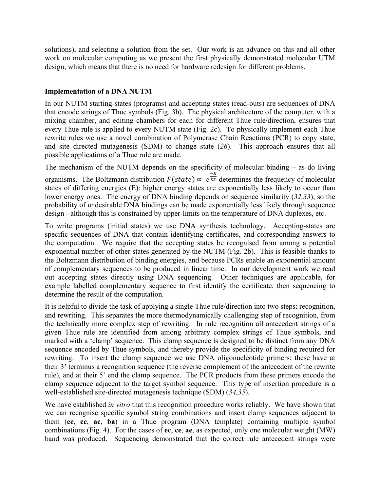solutions), and selecting a solution from the set. Our work is an advance on this and all other work on molecular computing as we present the first physically demonstrated molecular UTM design, which means that there is no need for hardware redesign for different problems.

### **Implementation of a DNA NUTM**

In our NUTM starting-states (programs) and accepting states (read-outs) are sequences of DNA that encode strings of Thue symbols (Fig. 3b). The physical architecture of the computer, with a mixing chamber, and editing chambers for each for different Thue rule/direction, ensures that every Thue rule is applied to every NUTM state (Fig. 2c). To physically implement each Thue rewrite rules we use a novel combination of Polymerase Chain Reactions (PCR) to copy state, and site directed mutagenesis (SDM) to change state (*26*). This approach ensures that all possible applications of a Thue rule are made.

The mechanism of the NUTM depends on the specificity of molecular binding – as do living organisms. The Boltzmann distribution  $F(state) \propto e^{\frac{-E}{kT}}$  determines the frequency of molecular states of differing energies (E): higher energy states are exponentially less likely to occur than lower energy ones. The energy of DNA binding depends on sequence similarity (*32,33*), so the probability of undesirable DNA bindings can be made exponentially less likely through sequence design - although this is constrained by upper-limits on the temperature of DNA duplexes, etc.

To write programs (initial states) we use DNA synthesis technology. Accepting-states are specific sequences of DNA that contain identifying certificates, and corresponding answers to the computation. We require that the accepting states be recognised from among a potential exponential number of other states generated by the NUTM (Fig. 2b). This is feasible thanks to the Boltzmann distribution of binding energies, and because PCRs enable an exponential amount of complementary sequences to be produced in linear time. In our development work we read out accepting states directly using DNA sequencing. Other techniques are applicable, for example labelled complementary sequence to first identify the certificate, then sequencing to determine the result of the computation.

It is helpful to divide the task of applying a single Thue rule/direction into two steps: recognition, and rewriting. This separates the more thermodynamically challenging step of recognition, from the technically more complex step of rewriting. In rule recognition all antecedent strings of a given Thue rule are identified from among arbitrary complex strings of Thue symbols, and marked with a 'clamp' sequence. This clamp sequence is designed to be distinct from any DNA sequence encoded by Thue symbols, and thereby provide the specificity of binding required for rewriting. To insert the clamp sequence we use DNA oligonucleotide primers: these have at their 3' terminus a recognition sequence (the reverse complement of the antecedent of the rewrite rule), and at their 5' end the clamp sequence. The PCR products from these primers encode the clamp sequence adjacent to the target symbol sequence. This type of insertion procedure is a well-established site-directed mutagenesis technique (SDM) (*34,35*).

We have established *in vitro* that this recognition procedure works reliably. We have shown that we can recognise specific symbol string combinations and insert clamp sequences adjacent to them (**ec**, **ce**, **ae**, **ba**) in a Thue program (DNA template) containing multiple symbol combinations (Fig. 4). For the cases of **ec**, **ce**, **ae**, as expected, only one molecular weight (MW) band was produced. Sequencing demonstrated that the correct rule antecedent strings were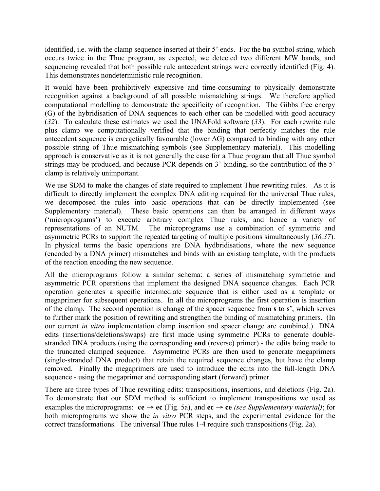identified, i.e. with the clamp sequence inserted at their 5' ends. For the **ba** symbol string, which occurs twice in the Thue program, as expected, we detected two different MW bands, and sequencing revealed that both possible rule antecedent strings were correctly identified (Fig. 4). This demonstrates nondeterministic rule recognition.

It would have been prohibitively expensive and time-consuming to physically demonstrate recognition against a background of all possible mismatching strings. We therefore applied computational modelling to demonstrate the specificity of recognition. The Gibbs free energy (G) of the hybridisation of DNA sequences to each other can be modelled with good accuracy (*32*). To calculate these estimates we used the UNAFold software (*33*). For each rewrite rule plus clamp we computationally verified that the binding that perfectly matches the rule antecedent sequence is energetically favourable (lower  $\Delta G$ ) compared to binding with any other possible string of Thue mismatching symbols (see Supplementary material). This modelling approach is conservative as it is not generally the case for a Thue program that all Thue symbol strings may be produced, and because PCR depends on 3' binding, so the contribution of the 5' clamp is relatively unimportant.

We use SDM to make the changes of state required to implement Thue rewriting rules. As it is difficult to directly implement the complex DNA editing required for the universal Thue rules, we decomposed the rules into basic operations that can be directly implemented (see Supplementary material). These basic operations can then be arranged in different ways ('microprograms') to execute arbitrary complex Thue rules, and hence a variety of representations of an NUTM. The microprograms use a combination of symmetric and asymmetric PCRs to support the repeated targeting of multiple positions simultaneously (*36,37*). In physical terms the basic operations are DNA hydbridisations, where the new sequence (encoded by a DNA primer) mismatches and binds with an existing template, with the products of the reaction encoding the new sequence.

All the microprograms follow a similar schema: a series of mismatching symmetric and asymmetric PCR operations that implement the designed DNA sequence changes. Each PCR operation generates a specific intermediate sequence that is either used as a template or megaprimer for subsequent operations. In all the microprograms the first operation is insertion of the clamp. The second operation is change of the spacer sequence from **s** to **s'**, which serves to further mark the position of rewriting and strengthen the binding of mismatching primers. (In our current *in vitro* implementation clamp insertion and spacer change are combined.) DNA edits (insertions/deletions/swaps) are first made using symmetric PCRs to generate doublestranded DNA products (using the corresponding **end** (reverse) primer) - the edits being made to the truncated clamped sequence. Asymmetric PCRs are then used to generate megaprimers (single-stranded DNA product) that retain the required sequence changes, but have the clamp removed. Finally the megaprimers are used to introduce the edits into the full-length DNA sequence - using the megaprimer and corresponding **start** (forward) primer.

There are three types of Thue rewriting edits: transpositions, insertions, and deletions (Fig. 2a). To demonstrate that our SDM method is sufficient to implement transpositions we used as examples the microprograms:  $ce \rightarrow ec$  (Fig. 5a), and  $ec \rightarrow ce$  *(see Supplementary material)*; for both microprograms we show the *in vitro* PCR steps, and the experimental evidence for the correct transformations. The universal Thue rules 1-4 require such transpositions (Fig. 2a).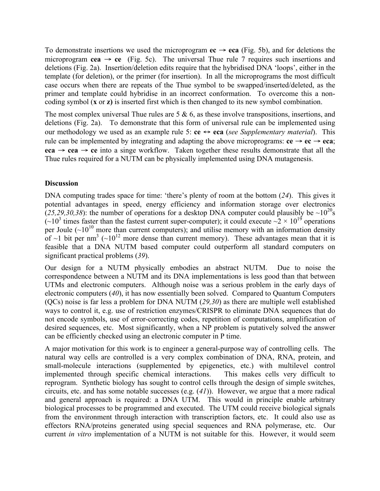To demonstrate insertions we used the microprogram  $ec \rightarrow eca$  (Fig. 5b), and for deletions the microprogram  $cea \rightarrow ce$  (Fig. 5c). The universal Thue rule 7 requires such insertions and deletions (Fig. 2a). Insertion/deletion edits require that the hybridised DNA 'loops', either in the template (for deletion), or the primer (for insertion). In all the microprograms the most difficult case occurs when there are repeats of the Thue symbol to be swapped/inserted/deleted, as the primer and template could hybridise in an incorrect conformation. To overcome this a noncoding symbol (**x** or **z)** is inserted first which is then changed to its new symbol combination.

The most complex universal Thue rules are  $5 \& 6$ , as these involve transpositions, insertions, and deletions (Fig. 2a). To demonstrate that this form of universal rule can be implemented using our methodology we used as an example rule 5: **ce** ↔ **eca** (*see Supplementary material*). This rule can be implemented by integrating and adapting the above microprograms:  $ce \rightarrow ec \rightarrow eca$ ; **eca** → **cea** → **ce** into a singe workflow. Taken together these results demonstrate that all the Thue rules required for a NUTM can be physically implemented using DNA mutagenesis.

### **Discussion**

DNA computing trades space for time: 'there's plenty of room at the bottom (*24*). This gives it potential advantages in speed, energy efficiency and information storage over electronics (25,29,30,38): the number of operations for a desktop DNA computer could plausibly be  $\sim 10^{20}$ s  $(-10^3)$  times faster than the fastest current super-computer); it could execute  $-2 \times 10^{19}$  operations per Joule  $(\sim 10^{10}$  more than current computers); and utilise memory with an information density of  $\sim$ 1 bit per nm<sup>3</sup> ( $\sim$ 10<sup>12</sup> more dense than current memory). These advantages mean that it is feasible that a DNA NUTM based computer could outperform all standard computers on significant practical problems (*39*).

Our design for a NUTM physically embodies an abstract NUTM. Due to noise the correspondence between a NUTM and its DNA implementations is less good than that between UTMs and electronic computers. Although noise was a serious problem in the early days of electronic computers (*40*), it has now essentially been solved. Compared to Quantum Computers (QCs) noise is far less a problem for DNA NUTM (*29,30*) as there are multiple well established ways to control it, e.g. use of restriction enzymes/CRISPR to eliminate DNA sequences that do not encode symbols, use of error-correcting codes, repetition of computations, amplification of desired sequences, etc. Most significantly, when a NP problem is putatively solved the answer can be efficiently checked using an electronic computer in P time.

A major motivation for this work is to engineer a general-purpose way of controlling cells. The natural way cells are controlled is a very complex combination of DNA, RNA, protein, and small-molecule interactions (supplemented by epigenetics, etc.) with multilevel control implemented through specific chemical interactions. This makes cells very difficult to reprogram. Synthetic biology has sought to control cells through the design of simple switches, circuits, etc. and has some notable successes (e.g. (*41*)). However, we argue that a more radical and general approach is required: a DNA UTM. This would in principle enable arbitrary biological processes to be programmed and executed. The UTM could receive biological signals from the environment through interaction with transcription factors, etc. It could also use as effectors RNA/proteins generated using special sequences and RNA polymerase, etc. Our current *in vitro* implementation of a NUTM is not suitable for this. However, it would seem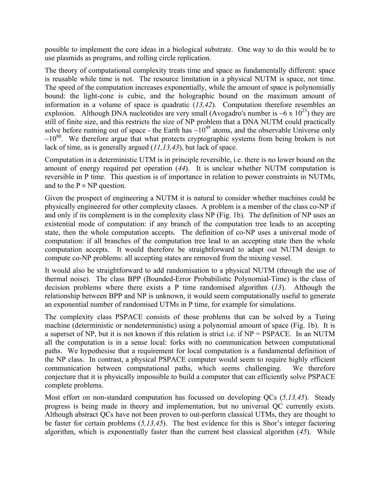possible to implement the core ideas in a biological substrate. One way to do this would be to use plasmids as programs, and rolling circle replication.

The theory of computational complexity treats time and space as fundamentally different: space is reusable while time is not. The resource limitation in a physical NUTM is space, not time. The speed of the computation increases exponentially, while the amount of space is polynomially bound: the light-cone is cubic, and the holographic bound on the maximum amount of information in a volume of space is quadratic (*13,42*). Computation therefore resembles an explosion. Although DNA nucleotides are very small (Avogadro's number is ~6 x  $10^{23}$ ) they are still of finite size, and this restricts the size of NP problem that a DNA NUTM could practically solve before running out of space - the Earth has  $\sim 10^{49}$  atoms, and the observable Universe only  $\sim 10^{80}$ . We therefore argue that what protects cryptographic systems from being broken is not lack of time, as is generally argued (*11,13,43*), but lack of space.

Computation in a deterministic UTM is in principle reversible, i.e. there is no lower bound on the amount of energy required per operation (*44*). It is unclear whether NUTM computation is reversible in P time. This question is of importance in relation to power constraints in NUTMs, and to the  $P = NP$  question.

Given the prospect of engineering a NUTM it is natural to consider whether machines could be physically engineered for other complexity classes. A problem is a member of the class co-NP if and only if its complement is in the complexity class NP (Fig. 1b). The definition of NP uses an existential mode of computation: if any branch of the computation tree leads to an accepting state, then the whole computation accepts. The definition of co-NP uses a universal mode of computation: if all branches of the computation tree lead to an accepting state then the whole computation accepts. It would therefore be straightforward to adapt out NUTM design to compute co-NP problems: all accepting states are removed from the mixing vessel.

It would also be straightforward to add randomisation to a physical NUTM (through the use of thermal noise). The class BPP (Bounded-Error Probabilistic Polynomial-Time) is the class of decision problems where there exists a P time randomised algorithm (*13*). Although the relationship between BPP and NP is unknown, it would seem computationally useful to generate an exponential number of randomised UTMs in P time, for example for simulations.

The complexity class PSPACE consists of those problems that can be solved by a Turing machine (deterministic or nondeterministic) using a polynomial amount of space (Fig. 1b). It is a superset of NP, but it is not known if this relation is strict i.e. if NP = PSPACE. In an NUTM all the computation is in a sense local: forks with no communication between computational paths. We hypothesise that a requirement for local computation is a fundamental definition of the NP class. In contrast, a physical PSPACE computer would seem to require highly efficient communication between computational paths, which seems challenging. We therefore conjecture that it is physically impossible to build a computer that can efficiently solve PSPACE complete problems.

Most effort on non-standard computation has focussed on developing QCs (*5,13,45*). Steady progress is being made in theory and implementation, but no universal QC currently exists. Although abstract QCs have not been proven to out-perform classical UTMs, they are thought to be faster for certain problems (*5,13,45*). The best evidence for this is Shor's integer factoring algorithm, which is exponentially faster than the current best classical algorithm (*45*). While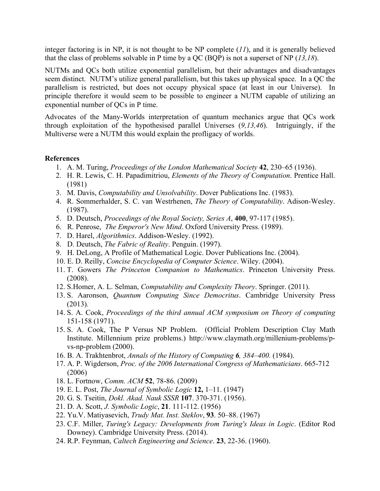integer factoring is in NP, it is not thought to be NP complete  $(11)$ , and it is generally believed that the class of problems solvable in P time by a QC (BQP) is not a superset of NP (*13,18*).

NUTMs and QCs both utilize exponential parallelism, but their advantages and disadvantages seem distinct. NUTM's utilize general parallelism, but this takes up physical space. In a QC the parallelism is restricted, but does not occupy physical space (at least in our Universe). In principle therefore it would seem to be possible to engineer a NUTM capable of utilizing an exponential number of QCs in P time.

Advocates of the Many-Worlds interpretation of quantum mechanics argue that QCs work through exploitation of the hypothesised parallel Universes (*9,13,46*). Intriguingly, if the Multiverse were a NUTM this would explain the profligacy of worlds.

#### **References**

- 1. A. M. Turing, *Proceedings of the London Mathematical Society* **42**, 230–65 (1936).
- 2. H. R. Lewis, C. H. Papadimitriou, *Elements of the Theory of Computation*. Prentice Hall. (1981)
- 3. M. Davis, *Computability and Unsolvability*. Dover Publications Inc. (1983).
- 4. R. Sommerhalder, S. C. van Westrhenen, *The Theory of Computability*. Adison-Wesley. (1987).
- 5. D. Deutsch, *Proceedings of the Royal Society, Series A*, **400**, 97-117 (1985).
- 6. R. Penrose, *The Emperor's New Mind*. Oxford University Press. (1989).
- 7. D. Harel, *Algorithmics*. Addison-Wesley. (1992).
- 8. D. Deutsch, *The Fabric of Reality*. Penguin. (1997).
- 9. H. DeLong, A Profile of Mathematical Logic. Dover Publications Inc. (2004).
- 10. E. D. Reilly, *Concise Encyclopedia of Computer Science*. Wiley. (2004).
- 11. T. Gowers *The Princeton Companion to Mathematics*. Princeton University Press. (2008).
- 12. S.Homer, A. L. Selman, *Computability and Complexity Theory*. Springer. (2011).
- 13. S. Aaronson, *Quantum Computing Since Democritus*. Cambridge University Press (2013)*.*
- 14. S. A. Cook, *Proceedings of the third annual ACM symposium on Theory of computing* 151-158 (1971).
- 15. S. A. Cook, The P Versus NP Problem. (Official Problem Description Clay Math Institute. Millennium prize problems.) http://www.claymath.org/millenium-problems/pvs-np-problem (2000).
- 16. B. A. Trakhtenbrot, *Annals of the History of Computing 6, 384–400.* (1984).
- 17. A. P. Wigderson, *Proc. of the 2006 International Congress of Mathematicians*. 665-712 (2006)
- 18. L. Fortnow, *Comm. ACM* **52**, 78-86. (2009)
- 19. E. L. Post, *The Journal of Symbolic Logic* **12,** 1–11. (1947)
- 20. G. S. Tseitin, *Dokl. Akad. Nauk SSSR* **107**. 370-371. (1956).
- 21. D. A. Scott, *J. Symbolic Logic*, **21**. 111-112. (1956)
- 22. Yu.V. Matiyasevich, *Trudy Mat. Inst. Steklov*, **93**. 50–88. (1967)
- 23. C.F. Miller, *Turing's Legacy: Developments from Turing's Ideas in Logic*. (Editor Rod Downey). Cambridge University Press. (2014).
- 24. R.P. Feynman, *Caltech Engineering and Science*. **23**, 22-36. (1960).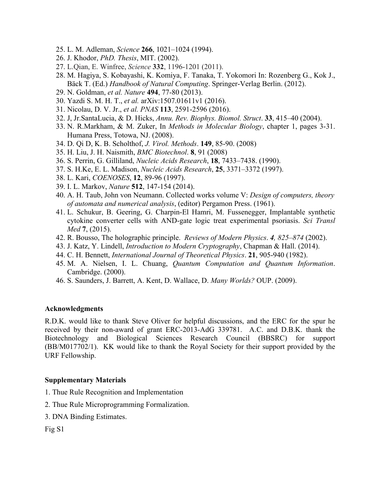- 25. L. M. Adleman, *Science* **266**, 1021–1024 (1994).
- 26. J. Khodor, *PhD. Thesis*, MIT. (2002).
- 27. L.Qian, E. Winfree, *Science* **332**, 1196-1201 (2011).
- 28. M. Hagiya, S. Kobayashi, K. Komiya, F. Tanaka, T. Yokomori In: Rozenberg G., Kok J., Bäck T. (Ed.) *Handbook of Natural Computing*. Springer-Verlag Berlin. (2012).
- 29. N. Goldman, *et al. Nature* **494**, 77-80 (2013).
- 30. Yazdi S. M. H. T., *et al.* arXiv:1507.01611v1 (2016).
- 31. Nicolau, D. V. Jr., *et al. PNAS* **113**, 2591-2596 (2016).
- 32. J, Jr.SantaLucia, & D. Hicks, *Annu. Rev. Biophys. Biomol. Struct*. **33**, 415–40 (2004).
- 33. N. R.Markham, & M. Zuker, In *Methods in Molecular Biology*, chapter 1, pages 3-31. Humana Press, Totowa, NJ. (2008).
- 34. D. Qi D, K. B. Scholthof, *J. Virol. Methods*. **149**, 85-90. (2008)
- 35. H. Liu, J. H. Naismith, *BMC Biotechnol*. **8**, 91 (2008)
- 36. S. Perrin, G. Gilliland, *Nucleic Acids Research*, **18**, 7433–7438. (1990).
- 37. S. H.Ke, E. L. Madison, *Nucleic Acids Research*, **25**, 3371–3372 (1997).
- 38. L. Kari, *COENOSES*, **12**, 89-96 (1997).
- 39. I. L. Markov, *Nature* **512**, 147-154 (2014).
- 40. A. H. Taub, John von Neumann. Collected works volume V: *Design of computers, theory of automata and numerical analysis*, (editor) Pergamon Press. (1961).
- 41. L. Schukur, B. Geering, G. Charpin-El Hamri, M. Fussenegger, Implantable synthetic cytokine converter cells with AND-gate logic treat experimental psoriasis. *Sci Transl Med* **7**, (2015).
- 42. R. Bousso, The holographic principle. *Reviews of Modern Physics*. *4, 825–874* (2002).
- 43. J. Katz, Y. Lindell, *Introduction to Modern Cryptography*, Chapman & Hall. (2014).
- 44. C. H. Bennett, *International Journal of Theoretical Physics*. **21**, 905-940 (1982).
- 45. M. A. Nielsen, I. L. Chuang, *Quantum Computation and Quantum Information*. Cambridge. (2000).
- 46. S. Saunders, J. Barrett, A. Kent, D. Wallace, D. *Many Worlds?* OUP. (2009).

#### **Acknowledgments**

R.D.K. would like to thank Steve Oliver for helpful discussions, and the ERC for the spur he received by their non-award of grant ERC-2013-AdG 339781. A.C. and D.B.K. thank the Biotechnology and Biological Sciences Research Council (BBSRC) for support (BB/M017702/1). KK would like to thank the Royal Society for their support provided by the URF Fellowship.

#### **Supplementary Materials**

- 1. Thue Rule Recognition and Implementation
- 2. Thue Rule Microprogramming Formalization.
- 3. DNA Binding Estimates.

Fig S1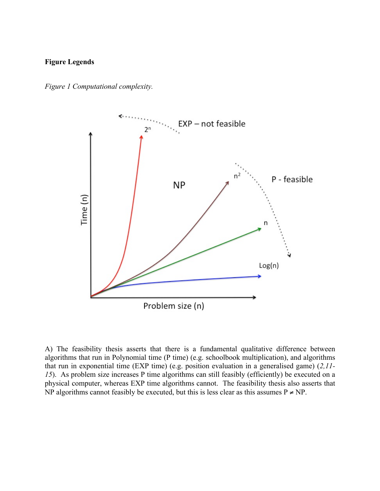### **Figure Legends**





A) The feasibility thesis asserts that there is a fundamental qualitative difference between algorithms that run in Polynomial time (P time) (e.g. schoolbook multiplication), and algorithms that run in exponential time (EXP time) (e.g. position evaluation in a generalised game) (*2,11- 15*). As problem size increases P time algorithms can still feasibly (efficiently) be executed on a physical computer, whereas EXP time algorithms cannot. The feasibility thesis also asserts that NP algorithms cannot feasibly be executed, but this is less clear as this assumes  $P \ne NP$ .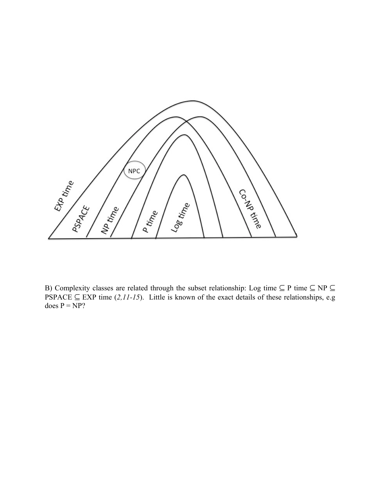

B) Complexity classes are related through the subset relationship: Log time ⊆ P time ⊆ NP ⊆ PSPACE  $\subseteq$  EXP time (2,11-15). Little is known of the exact details of these relationships, e.g does  $P = NP?$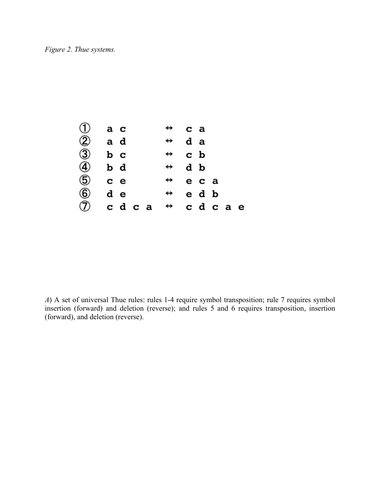

*A*) A set of universal Thue rules: rules 1-4 require symbol transposition; rule 7 requires symbol insertion (forward) and deletion (reverse); and rules 5 and 6 requires transposition, insertion (forward), and deletion (reverse).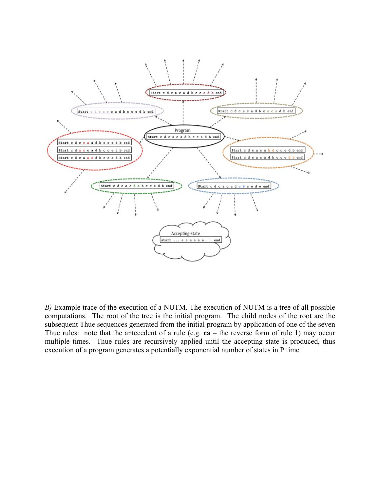

*B)* Example trace of the execution of a NUTM. The execution of NUTM is a tree of all possible computations. The root of the tree is the initial program. The child nodes of the root are the subsequent Thue sequences generated from the initial program by application of one of the seven Thue rules: note that the antecedent of a rule (e.g. **ca** – the reverse form of rule 1) may occur multiple times. Thue rules are recursively applied until the accepting state is produced, thus execution of a program generates a potentially exponential number of states in P time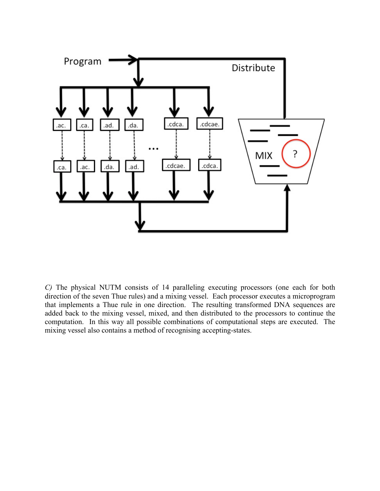

*C)* The physical NUTM consists of 14 paralleling executing processors (one each for both direction of the seven Thue rules) and a mixing vessel. Each processor executes a microprogram that implements a Thue rule in one direction. The resulting transformed DNA sequences are added back to the mixing vessel, mixed, and then distributed to the processors to continue the computation. In this way all possible combinations of computational steps are executed. The mixing vessel also contains a method of recognising accepting-states.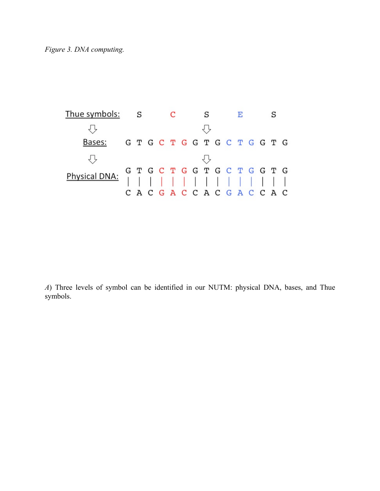| Thue symbols: S |                 |  |  |  |  |  |  |  |
|-----------------|-----------------|--|--|--|--|--|--|--|
|                 |                 |  |  |  |  |  |  |  |
| Bases:          | GTGCTGGTGCTGGTG |  |  |  |  |  |  |  |
|                 |                 |  |  |  |  |  |  |  |
|                 |                 |  |  |  |  |  |  |  |
|                 |                 |  |  |  |  |  |  |  |
|                 | CACGACCACGACCAC |  |  |  |  |  |  |  |

*A*) Three levels of symbol can be identified in our NUTM: physical DNA, bases, and Thue symbols.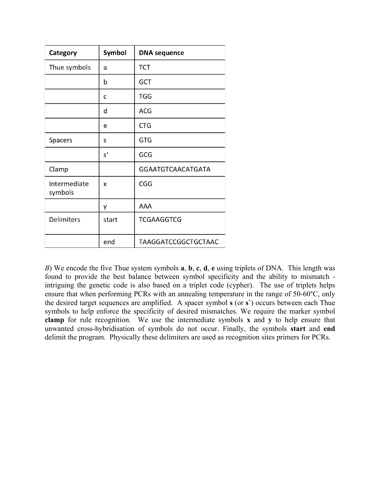| Category                | Symbol        | <b>DNA</b> sequence      |
|-------------------------|---------------|--------------------------|
| Thue symbols            | a             | <b>TCT</b>               |
|                         | b             | <b>GCT</b>               |
|                         | C             | <b>TGG</b>               |
|                         | d             | <b>ACG</b>               |
|                         | e             | <b>CTG</b>               |
| Spacers                 | S             | <b>GTG</b>               |
|                         | $\mathsf{s}'$ | GCG                      |
| Clamp                   |               | <b>GGAATGTCAACATGATA</b> |
| Intermediate<br>symbols | x             | <b>CGG</b>               |
|                         | у             | AAA                      |
| Delimiters              | start         | <b>TCGAAGGTCG</b>        |
|                         | end           | TAAGGATCCGGCTGCTAAC      |

*B*) We encode the five Thue system symbols **a**, **b**, **c**, **d**, **e** using triplets of DNA. This length was found to provide the best balance between symbol specificity and the ability to mismatch intriguing the genetic code is also based on a triplet code (cypher). The use of triplets helps ensure that when performing PCRs with an annealing temperature in the range of 50-60°C, only the desired target sequences are amplified. A spacer symbol **s** (or **s`**) occurs between each Thue symbols to help enforce the specificity of desired mismatches. We require the marker symbol **clamp** for rule recognition. We use the intermediate symbols **x** and **y** to help ensure that unwanted cross-hybridisation of symbols do not occur. Finally, the symbols **start** and **end** delimit the program. Physically these delimiters are used as recognition sites primers for PCRs.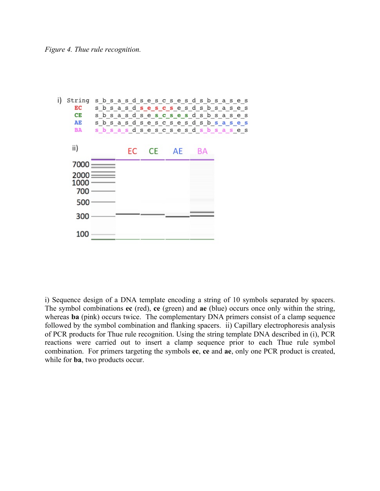

i) Sequence design of a DNA template encoding a string of 10 symbols separated by spacers. The symbol combinations **ec** (red), **ce** (green) and **ae** (blue) occurs once only within the string, whereas **ba** (pink) occurs twice. The complementary DNA primers consist of a clamp sequence followed by the symbol combination and flanking spacers. ii) Capillary electrophoresis analysis of PCR products for Thue rule recognition. Using the string template DNA described in (i), PCR reactions were carried out to insert a clamp sequence prior to each Thue rule symbol combination. For primers targeting the symbols **ec**, **ce** and **ae**, only one PCR product is created, while for **ba**, two products occur.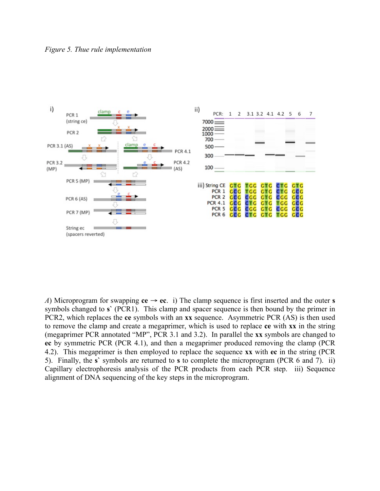

*A*) Microprogram for swapping  $ce \rightarrow ec$ . i) The clamp sequence is first inserted and the outer **s** symbols changed to **s`** (PCR1). This clamp and spacer sequence is then bound by the primer in PCR2, which replaces the **ce** symbols with an **xx** sequence. Asymmetric PCR (AS) is then used to remove the clamp and create a megaprimer, which is used to replace **ce** with **xx** in the string (megaprimer PCR annotated "MP", PCR 3.1 and 3.2). In parallel the **xx** symbols are changed to **ec** by symmetric PCR (PCR 4.1), and then a megaprimer produced removing the clamp (PCR 4.2). This megaprimer is then employed to replace the sequence **xx** with **ec** in the string (PCR 5). Finally, the **s`** symbols are returned to **s** to complete the microprogram (PCR 6 and 7). ii) Capillary electrophoresis analysis of the PCR products from each PCR step. iii) Sequence alignment of DNA sequencing of the key steps in the microprogram.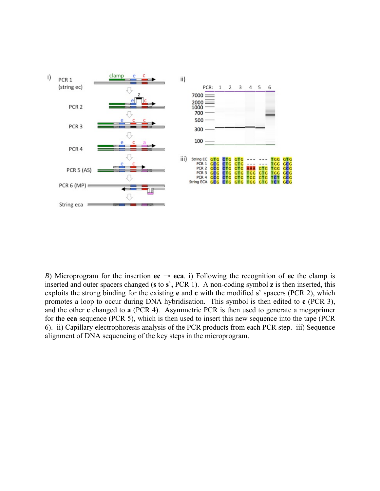

*B*) Microprogram for the insertion  $ec \rightarrow eca$ . i) Following the recognition of  $ec$  the clamp is inserted and outer spacers changed (**s** to **s`,** PCR 1). A non-coding symbol **z** is then inserted, this exploits the strong binding for the existing **e** and **c** with the modified **s`** spacers (PCR 2), which promotes a loop to occur during DNA hybridisation. This symbol is then edited to **c** (PCR 3), and the other **c** changed to **a** (PCR 4). Asymmetric PCR is then used to generate a megaprimer for the **eca** sequence (PCR 5), which is then used to insert this new sequence into the tape (PCR 6). ii) Capillary electrophoresis analysis of the PCR products from each PCR step. iii) Sequence alignment of DNA sequencing of the key steps in the microprogram.